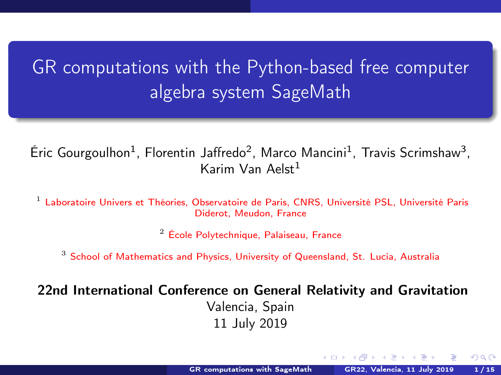# <span id="page-0-0"></span>GR computations with the Python-based free computer algebra system SageMath

Éric Gourgoulhon<sup>1</sup>, Florentin Jaffredo<sup>2</sup>, Marco Mancini<sup>1</sup>, Travis Scrimshaw<sup>3</sup>, Karim Van Aelst $1$ 

<sup>1</sup> [Laboratoire Univers et Théories, Observatoire de Paris, CNRS, Université PSL, Université Paris](https://luth.obspm.fr) [Diderot, Meudon, France](https://luth.obspm.fr)

<sup>2</sup> [École Polytechnique, Palaiseau, France](https://www.polytechnique.edu)

<sup>3</sup> [School of Mathematics and Physics, University of Queensland, St. Lucia, Australia](https://smp.uq.edu.au/)

22nd International Conference on General Relativity and Gravitation Valencia, Spain 11 July 2019

 $\leftarrow$   $\Box$   $\rightarrow$   $\leftarrow$   $\leftarrow$   $\Box$   $\rightarrow$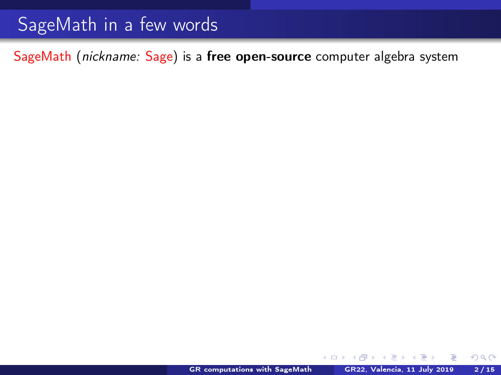SageMath (nickname: Sage) is a free open-source computer algebra system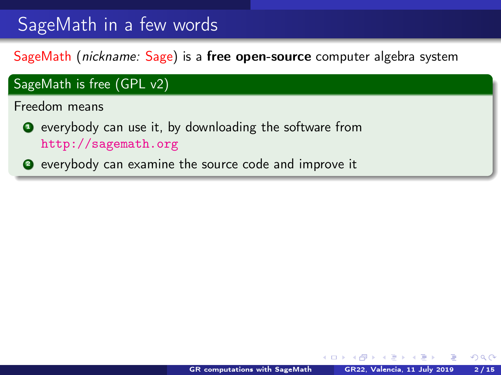SageMath (nickname: Sage) is a free open-source computer algebra system

# SageMath is free (GPL v2) Freedom means **O** everybody can use it, by downloading the software from <http://sagemath.org> <sup>2</sup> everybody can examine the source code and improve it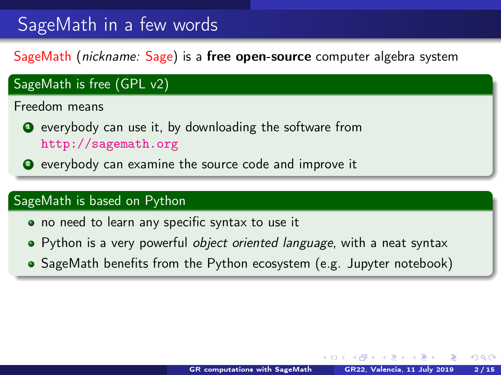SageMath (nickname: Sage) is a free open-source computer algebra system

## SageMath is free (GPL v2) Freedom means **O** everybody can use it, by downloading the software from <http://sagemath.org> <sup>2</sup> everybody can examine the source code and improve it

### SageMath is based on Python

- no need to learn any specific syntax to use it
- Python is a very powerful *object oriented language*, with a neat syntax
- SageMath benefits from the Python ecosystem (e.g. Jupyter notebook)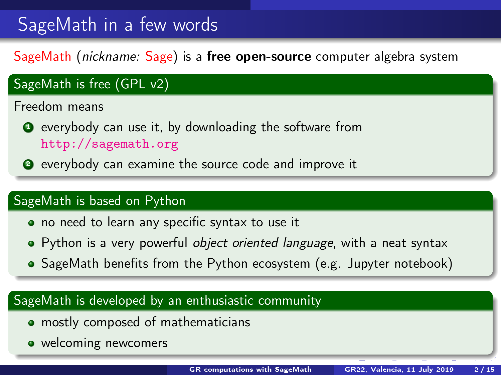<span id="page-4-0"></span>SageMath (nickname: Sage) is a free open-source computer algebra system

## SageMath is free (GPL v2)

Freedom means

- **O** everybody can use it, by downloading the software from <http://sagemath.org>
- <sup>2</sup> everybody can examine the source code and improve it

### SageMath is based on Python

- no need to learn any specific syntax to use it
- Python is a very powerful *object oriented language*, with a neat syntax
- SageMath benefits from the Python ecosystem (e.g. Jupyter notebook)

### SageMath is developed by an enthusiastic community

- **mostly composed of mathematicians**
- welcoming newcomers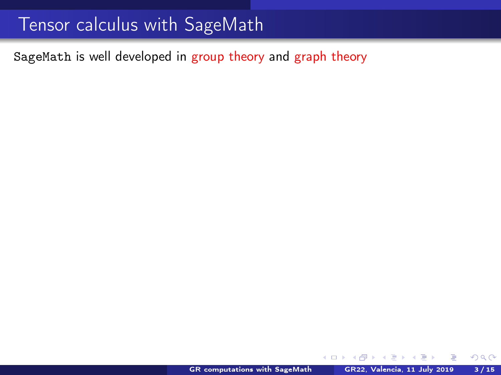## <span id="page-5-0"></span>Tensor calculus with SageMath

SageMath is well developed in group theory and graph theory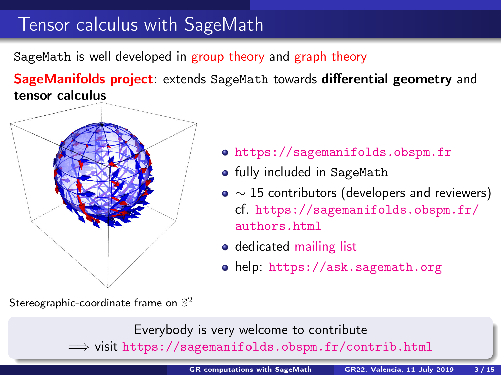## <span id="page-6-0"></span>Tensor calculus with SageMath

SageMath is well developed in group theory and graph theory

SageManifolds project: extends SageMath towards differential geometry and tensor calculus



<https://sagemanifolds.obspm.fr>

- **•** fully included in SageMath
- $\bullet \sim 15$  contributors (developers and reviewers) cf. [https://sagemanifolds.obspm.fr/](https://sagemanifolds.obspm.fr/authors.html) [authors.html](https://sagemanifolds.obspm.fr/authors.html)
- o dedicated [mailing list](http://sagemanifolds.obspm.fr/contact.html)
- help: <https://ask.sagemath.org>

Stereographic-coordinate frame on  $\mathbb{S}^2$ 

Everybody is very welcome to contribute  $\Longrightarrow$  visit <https://sagemanifolds.obspm.fr/contrib.html>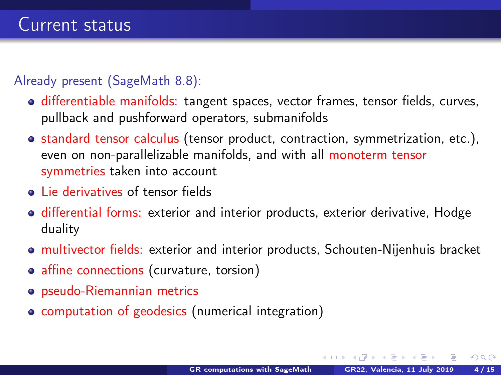### <span id="page-7-0"></span>Already present (SageMath 8.8):

- **o** differentiable manifolds: tangent spaces, vector frames, tensor fields, curves, pullback and pushforward operators, submanifolds
- standard tensor calculus (tensor product, contraction, symmetrization, etc.), even on non-parallelizable manifolds, and with all monoterm tensor symmetries taken into account
- **.** Lie derivatives of tensor fields
- **o** differential forms: exterior and interior products, exterior derivative, Hodge duality
- multivector fields: exterior and interior products, Schouten-Nijenhuis bracket
- affine connections (curvature, torsion)
- pseudo-Riemannian metrics
- computation of geodesics (numerical integration)

 $\leftarrow$   $\Box$   $\rightarrow$   $\rightarrow$   $\overline{\land}$   $\rightarrow$   $\rightarrow$   $\overline{\land}$   $\rightarrow$   $\rightarrow$   $\rightarrow$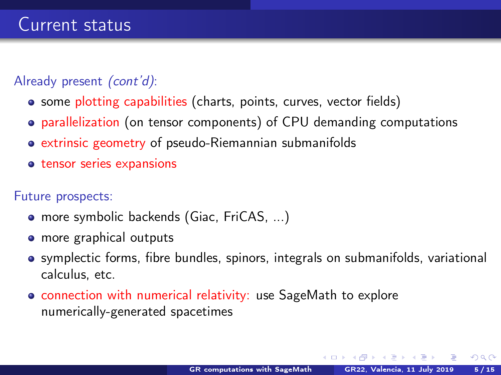### Already present *(cont'd)*:

- some plotting capabilities (charts, points, curves, vector fields)
- parallelization (on tensor components) of CPU demanding computations
- extrinsic geometry of pseudo-Riemannian submanifolds
- **•** tensor series expansions

### Future prospects:

- more symbolic backends (Giac, FriCAS, ...)
- more graphical outputs
- symplectic forms, fibre bundles, spinors, integrals on submanifolds, variational calculus, etc.
- **connection with numerical relativity: use SageMath to explore** numerically-generated spacetimes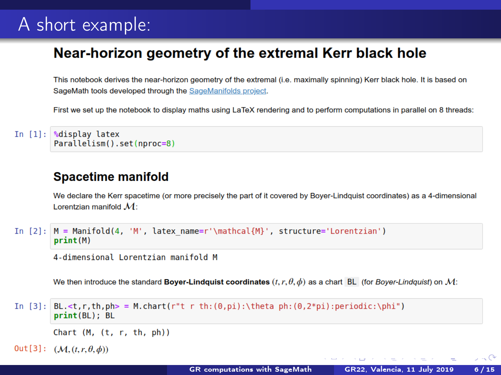## A short example:

### Near-horizon geometry of the extremal Kerr black hole

This notebook derives the near-horizon geometry of the extremal (i.e. maximally spinning) Kerr black hole. It is based on SageMath tools developed through the SageManifolds project.

First we set up the notebook to display maths using LaTeX rendering and to perform computations in parallel on 8 threads:

```
In [1]: <sup>9</sup>display latex
          Parallelism().set(nproc=8)
```
### **Spacetime manifold**

We declare the Kerr spacetime (or more precisely the part of it covered by Bover-Lindquist coordinates) as a 4-dimensional Lorentzian manifold  $M_1$ 

```
In [2]: |M = \text{Mainfold}(4, 'M', \text{later name} = ' \text{In}], structure='Lorentzian')
         print(M)
```

```
4-dimensional Lorentzian manifold M
```
We then introduce the standard Boyer-Lindquist coordinates  $(t, r, \theta, \phi)$  as a chart BL (for Boyer-Lindquist) on M:

```
In [3]: BL < t, r, th, ph > = M.charAt(r''t r th: (0, pi): \theta ph: (0, 2*pi): periodic:\phi')print(BL); BL
```

```
Chart (M, (t, r, th, ph))
```

```
Out [3]: (\mathcal{M}, (t, r, \theta, \phi))
```
 $\sim$   $\curvearrowright$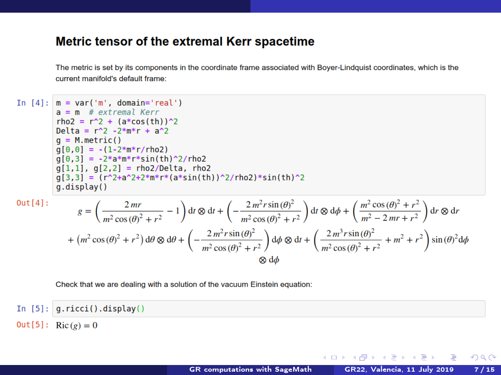#### Metric tensor of the extremal Kerr spacetime

The metric is set by its components in the coordinate frame associated with Boyer-Lindquist coordinates, which is the current manifold's default frame:

In  $[4]$ :  $m = var('m'. domain='real')$  $a = m$  # extremal Kerr  $rho2 = r^2 + (a * cos(th))^2$ Delta =  $r^2$  -2\*m\*r + a<sup>2</sup>  $q = M.metric()$  $q[0,0] = -(1-2*m*r/rho2)$  $q[0,3] = -2*a*m*r*sin(th)^2/rho2$  $q[1,1]$ ,  $q[2,2] =$ rho2/Delta, rho2  $q[3,3] = (r^2 + a^2 + 2^* + r^* (a^* \sin(\text{th}))^2 / r \cdot \text{ho2}^* \sin(\text{th})^2)$ g.display()

$$
g = \left(\frac{2mr}{m^2\cos(\theta)^2 + r^2} - 1\right) dt \otimes dr + \left(-\frac{2m^2r\sin(\theta)^2}{m^2\cos(\theta)^2 + r^2}\right) dt \otimes d\phi + \left(\frac{m^2\cos(\theta)^2 + r^2}{m^2 - 2mr + r^2}\right) dr \otimes dr
$$
  
+ 
$$
\left(m^2\cos(\theta)^2 + r^2\right) d\theta \otimes d\theta + \left(-\frac{2m^2r\sin(\theta)^2}{m^2\cos(\theta)^2 + r^2}\right) d\phi \otimes dt + \left(\frac{2m^3r\sin(\theta)^2}{m^2\cos(\theta)^2 + r^2} + m^2 + r^2\right) \sin(\theta)^2 d\phi
$$
  

$$
\otimes d\phi
$$

Check that we are dealing with a solution of the vacuum Einstein equation:

In  $[5]$ :  $q.ricci()$ .display()  $0$ ut [5]: Ric $(e) = 0$ 

メロメ オ何 トメ ミト メミト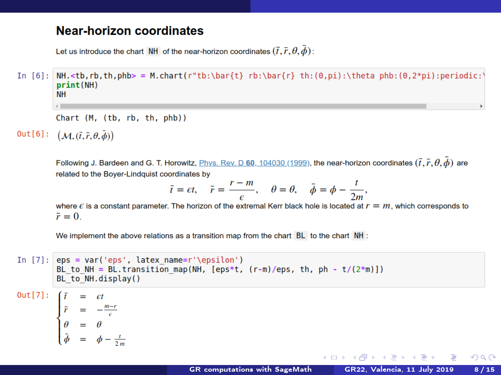### **Near-horizon coordinates**

Let us introduce the chart NH of the near-horizon coordinates  $(\bar{t}, \bar{r}, \theta, \bar{\phi})$ :

In [6]: NH.<tb,rb,th,phb> = M.chart(r"tb:\bar{t} rb:\bar{r} th:(0,pi):\theta phb:(0,2\*pi):periodic:\  $print(NH)$ **NH** 

Chart (M, (tb, rb, th, phb))

Out[6]:  $(M, (\bar{t}, \bar{r}, \theta, \bar{\phi}))$ 

Following J. Bardeen and G. T. Horowitz, Phys. Rev. D 60, 104030 (1999), the near-horizon coordinates  $(\bar{t}, \bar{r}, \theta, \bar{d})$  are related to the Bover-Lindquist coordinates by

$$
\bar{t} = \epsilon t, \quad \bar{r} = \frac{r - m}{\epsilon}, \quad \theta = \theta, \quad \bar{\phi} = \phi - \frac{t}{2m}
$$

where  $\epsilon$  is a constant parameter. The horizon of the extremal Kerr black hole is located at  $r = m$ , which corresponds to  $\bar{r}=0$ .

We implement the above relations as a transition map from the chart BL to the chart NH :

```
In [7]: eps = var('eps', latex name=r'\epsilon')
            BL to NH = BL. transition map(NH, [eps*t, (r-m)/eps, th, ph - t/(2*m)])
            BL^-to NH.display()
Out[7]:\begin{cases}\n\vec{r} &= -\frac{m-r}{\epsilon} \\
\theta &= \theta \\
\vec{a} &= \phi - \frac{r}{2m}\n\end{cases}メロメ オ何 ト オミ ト オミメ
                                                                                                                                                \Omega
```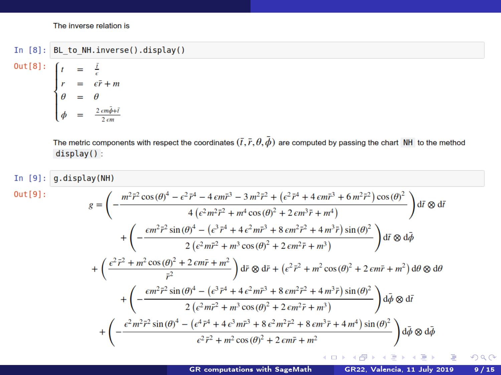The inverse relation is

### In  $[8]$ : BL to NH.inverse().display()

 $Out[8]$ :  $\begin{cases}\n t &= \frac{1}{\epsilon} \\
 r &= \epsilon \bar{r} + m \\
 \theta &= \theta \\
 \phi &= \frac{2 \epsilon m \bar{\phi} + \bar{t}}{2 \epsilon m} \n\end{cases}$ 

> The metric components with respect the coordinates  $(\bar{t},\bar{r},\theta,\bar{\phi})$  are computed by passing the chart NH to the method  $display()$ :

In  $[9]$ :  $q$ .display(NH)  $Out[9]:$  $g=\left(-\frac{m^{2}\tilde{r}^{2}\cos\left(\theta\right)^{4}-\epsilon^{2}\tilde{r}^{4}-4\,\epsilon m\tilde{r}^{3}-3\,m^{2}\tilde{r}^{2}+\left(\epsilon^{2}\tilde{r}^{4}+4\,\epsilon m\tilde{r}^{3}+6\,m^{2}\tilde{r}^{2}\right)\cos\left(\theta\right)^{2}}{4\left(\epsilon^{2}m^{2}\tilde{r}^{2}+m^{4}\cos\left(\theta\right)^{2}+2\,\epsilon m^{3}\tilde{r}+m^{4}\right)}\right)\mathrm{d}\tilde{r}\otimes\mathrm{d}\tilde{r}$  $+ \left( - \frac{\epsilon m^2 \bar{r}^2 \sin{(\theta)}^4 - \left(\epsilon^3 \bar{r}^4 + 4 \epsilon^2 m \bar{r}^3 + 8 \epsilon m^2 \bar{r}^2 + 4 m^3 \bar{r} \right) \sin{(\theta)}^2}{2 \left(\epsilon^2 m \bar{r}^2 + m^3 \cos{(\theta)}^2 + 2 \epsilon m^2 \bar{r} + m^3 \right)} \right) d\bar{r} \otimes d\bar{\phi}$  $+\left(\frac{\epsilon^2\bar{r}^2+m^2\cos{(\theta)}^2+2\,\epsilon m\bar{r}+m^2}{\bar{r}^2}\right)\mathrm{d}\bar{r}\otimes\mathrm{d}\bar{r}+\left(\epsilon^2\bar{r}^2+m^2\cos{(\theta)}^2+2\,\epsilon m\bar{r}+m^2\right)\mathrm{d}\theta\otimes\mathrm{d}\theta$  $+ \left( - \frac{\epsilon m^2 \bar{r}^2 \sin{(\theta)}^4 - \left( \epsilon^3 \bar{r}^4 + 4 \, \epsilon^2 m \bar{r}^3 + 8 \, \epsilon m^2 \bar{r}^2 + 4 \, m^3 \bar{r} \right) \sin{(\theta)^2}}{2 \left( \epsilon^2 m \bar{r}^2 + m^3 \cos{(\theta)^2} + 2 \, \epsilon m^2 \bar{r} + m^3 \right)} \right) \mathrm{d} \bar{\phi} \otimes \mathrm{d} \bar{t}$  $+\left(-\frac{\epsilon^2m^2\tilde{r}^2\sin{(\theta)}^4-\left(\epsilon^4\tilde{r}^4+4\,\epsilon^3m\tilde{r}^3+8\,\epsilon^2m^2\tilde{r}^2+8\,\epsilon m^3\tilde{r}+4\,m^4\right)\sin{(\theta)}^2}{\epsilon^2\tilde{r}^2+m^2\cos{(\theta)}^2+2\,\epsilon m\tilde{r}+m^2}\right)\mathrm{d}\bar{\phi}\otimes\mathrm{d}\bar{\phi}$ メロト メ何 トメ ヨ トメ ヨ)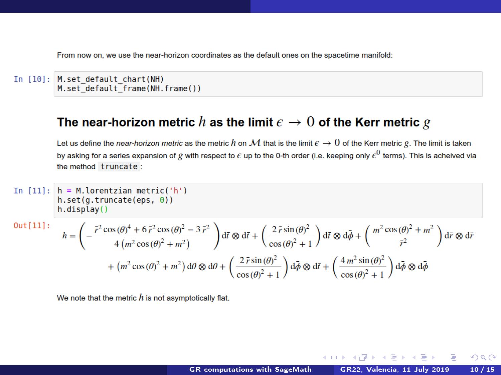From now on, we use the near-horizon coordinates as the default ones on the spacetime manifold:

```
In [10]: M.set default chart(NH)
         M.set default frame(NH.frame())
```
### The near-horizon metric h as the limit  $\epsilon \to 0$  of the Kerr metric g

Let us define the near-horizon metric as the metric h on M that is the limit  $\epsilon \to 0$  of the Kerr metric g. The limit is taken by asking for a series expansion of g with respect to  $\epsilon$  up to the 0-th order (i.e. keeping only  $\epsilon^0$  terms). This is acheived via the method truncate:

In [11]:  
\nh.set(g.tuncate(eps, 0))  
\nh.display()  
\nOut[11]:  
\n
$$
\begin{aligned}\nh &= \left(-\frac{\bar{r}^2 \cos(\theta)^4 + 6\bar{r}^2 \cos(\theta)^2 - 3\bar{r}^2}{4(m^2 \cos(\theta)^2 + m^2)}\right) d\bar{r} \otimes d\bar{r} + \left(\frac{2\bar{r} \sin(\theta)^2}{\cos(\theta)^2 + 1}\right) d\bar{r} \otimes d\bar{\phi} + \left(\frac{m^2 \cos(\theta)^2 + m^2}{\bar{r}^2}\right) d\bar{r} \otimes d\bar{r} + (m^2 \cos(\theta)^2 + m^2) d\theta \otimes d\theta + \left(\frac{2\bar{r} \sin(\theta)^2}{\cos(\theta)^2 + 1}\right) d\bar{\phi} \otimes d\bar{r} + \left(\frac{4m^2 \sin(\theta)^2}{\cos(\theta)^2 + 1}\right) d\bar{\phi} \otimes d\bar{\phi}\n\end{aligned}
$$

We note that the metric  $h$  is not asymptotically flat.

 $\leftarrow$   $\Box$   $\rightarrow$   $\rightarrow$   $\overline{m}$   $\rightarrow$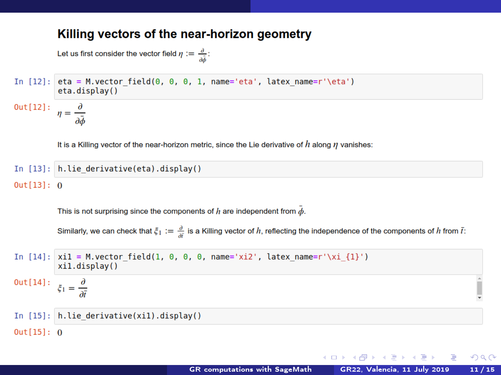#### Killing vectors of the near-horizon geometry

Let us first consider the vector field  $\eta := \frac{\partial}{\partial \vec{a}}$ :

```
In [12]: eta = M.vector field(0, 0, 0, 1, name='eta', latex name=r'\eta')
         eta.display()
```
 $Out[12]:$  $\eta = \frac{\partial}{\partial x}$ 

It is a Killing vector of the near-horizon metric, since the Lie derivative of  $h$  along  $\eta$  vanishes:

```
In [13]: h.lie derivative(eta).display()
Out[13]: 0
```
This is not surprising since the components of  $h$  are independent from  $\bar{\phi}$ .

Similarly, we can check that  $\xi_1 := \frac{\partial}{\partial i}$  is a Killing vector of h, reflecting the independence of the components of h from  $\overline{t}$ :

In [14]: 
$$
\begin{aligned}\n &\text{xi} &= M \cdot \text{vector-field}(1, 0, 0, 0, \text{name='xiz'}, \text{latex_name=r'\xi\_i})\n \end{aligned}
$$
\n $\begin{aligned}\n &\text{out}[14]: \\
 &\xi_1 = \frac{\partial}{\partial t} \\
 &\text{In [15]: }\n \end{aligned}$ \n $\begin{aligned}\n &\text{init} &= \text{div}(x \cdot \text{int})\n \end{aligned}$ \n $\begin{aligned}\n &\text{out}[14]: \\
 &\xi_1 = \frac{\partial}{\partial t} \\
 &\text{in [15]: }\n \end{aligned}$ 

メロメ オ何 トメ ミト メミト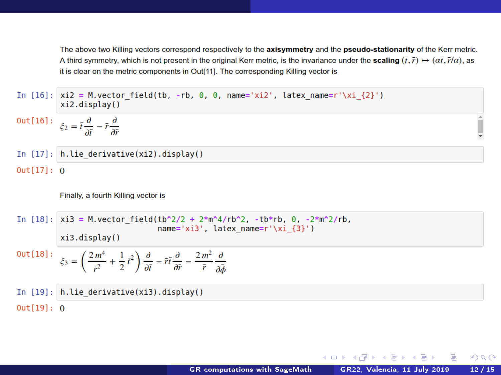The above two Killing vectors correspond respectively to the axisymmetry and the pseudo-stationarity of the Kerr metric. A third symmetry, which is not present in the original Kerr metric, is the invariance under the **scaling**  $(\bar{t}, \bar{r}) \mapsto (\alpha \bar{t}, \bar{r}/\alpha)$ , as it is clear on the metric components in Out[11]. The corresponding Killing vector is

In [16]:  $xi2 = M$ , vector field(tb, -rb, 0, 0, name='xi2', latex name=r'\xi {2}') xi2.display()

$$
Out[16]: \quad \xi_2 = \bar{t} \frac{\partial}{\partial \bar{t}} - \bar{r} \frac{\partial}{\partial \bar{r}}
$$

$$
Out[17]: 0
$$

Finally, a fourth Killing vector is

In [18]:  $x i 3 = M$ , vector field(tb^2/2 + 2\*m^4/rb^2, -tb\*rb, 0, -2\*m^2/rb, name='xi3', latex name= $r' \xi x$ i {3}')

$$
\text{Out[18]}: \quad \xi_3 = \left(\frac{2m^4}{\bar{r}^2} + \frac{1}{2}\bar{t}^2\right)\frac{\partial}{\partial \bar{t}} - \bar{r}\bar{t}\frac{\partial}{\partial \bar{r}} - \frac{2m^2}{\bar{r}}\frac{\partial}{\partial \bar{\phi}}
$$

In  $[19]$ :  $h$ . lie derivative(xi3). display()  $Out[19]: 0$ 

- 4 重 ト -4 重 ト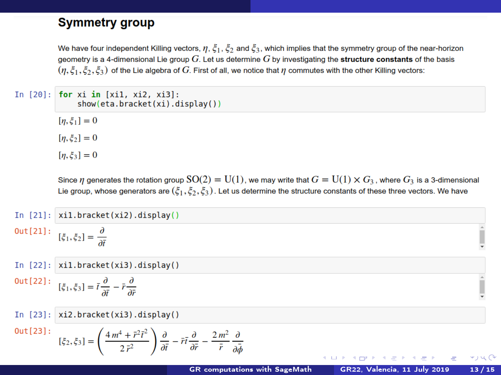#### **Symmetry group**

We have four independent Killing vectors,  $\eta$ ,  $\xi_1$ ,  $\xi_2$  and  $\xi_3$ , which implies that the symmetry group of the near-horizon geometry is a 4-dimensional Lie group  $G$ . Let us determine  $G$  by investigating the structure constants of the basis  $(n, \xi_1, \xi_2, \xi_3)$  of the Lie algebra of G. First of all, we notice that  $\eta$  commutes with the other Killing vectors:

In  $[20]$ : for xi in  $[xi1, xi2, xi3]$ :  $show(\text{eta.bracket}(xi), \text{display}())$ 

> $[n, \xi_1] = 0$  $[n, \xi_2] = 0$

> $[n, \xi_3] = 0$

Since *n* generates the rotation group  $SO(2) = U(1)$ , we may write that  $G = U(1) \times G_3$ , where  $G_3$  is a 3-dimensional Lie group, whose generators are  $(\xi_1, \xi_2, \xi_3)$ . Let us determine the structure constants of these three vectors. We have

In  $[21]$ :  $x$ il.bracket(xi2).display() Out

$$
\begin{bmatrix} 21 \end{bmatrix} : \quad [\xi_1, \xi_2] = \frac{\partial}{\partial \bar{t}}
$$

 $[22]$ :  $xil.bracket(xi3).display()$ In.  $\Omega$ 

$$
\text{ut}[22]: \quad [\xi_1, \xi_3] = \bar{t} \frac{\partial}{\partial \bar{t}} - \bar{r} \frac{\partial}{\partial \bar{r}}
$$

In  $[23]$ :  $xi2.bracket(xi3).display()$ 

 $\left( \begin{array}{ccc} 1 & 0 & 0 \\ 0 & 0 & 0 \end{array} \right)$ 

 $Out[23]:$ 

$$
\xi_2, \xi_3] = \left(\frac{4m^4 + \bar{r}^2 \bar{t}^2}{2\,\bar{r}^2}\right)\frac{\partial}{\partial \bar{t}} - \bar{r}\bar{t}\frac{\partial}{\partial \bar{r}} - \frac{2\,m^2}{\bar{r}}\frac{\partial}{\partial \bar{\phi}}
$$

**KUP KOPP KEP KEP** 

 $V_{1}$  4  $\alpha$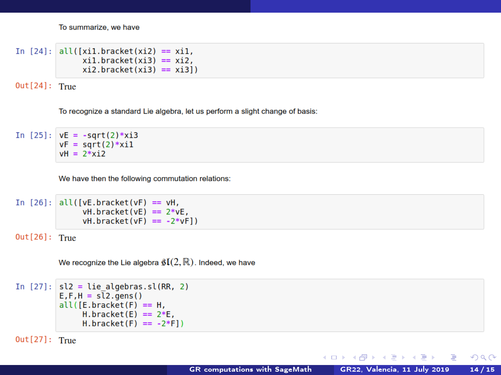To summarize, we have

```
In [24]: all([xi1.bracket(xi2) == xi1.x_i1.bracket(x_i3) == x_i2.
               x_i2.bracket(x_i3) == x_i31)
```
 $Out[24]:$  True

To recognize a standard Lie algebra, let us perform a slight change of basis:

In  $[25]$ :  $vE = -sqrt(2)*xi3$  $vF = sqrt(2)*xi1$  $vH = 2*vi2$ 

We have then the following commutation relations:

```
In [26]: all([vE.bracket(vF) == vH,
              vH.bracket(vE) == 2*vE,
              vH.bracket(vF) == -2*vF1
```
 $Out[26]:$  True

We recognize the Lie algebra  $\mathfrak{gl}(2,\mathbb{R})$ . Indeed, we have

```
In [27]: sl2 = lie algebras(sl(RR, 2))E, F, H = s\overline{1}2.gens()
          all([E.bracket(F) == H,H.bracket(E) == 2*E.H.bracket(F) == -2*F1
```
 $Out[27]:$  True

メロト メ御 トメ 君 トメ 君 トー

G.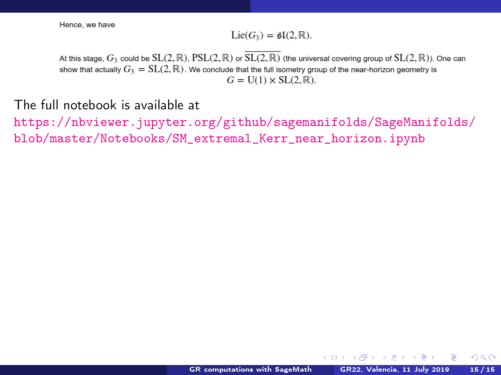<span id="page-18-0"></span>Hence, we have

#### $Lie(G_3) = \mathfrak{sl}(2,\mathbb{R}).$

At this stage,  $G_3$  could be  $SL(2,\mathbb{R})$ ,  $PSL(2,\mathbb{R})$  or  $SL(2,\mathbb{R})$  (the universal covering group of  $SL(2,\mathbb{R})$ ). One can show that actually  $G_3 = SL(2,\mathbb{R})$ . We conclude that the full isometry group of the near-horizon geometry is  $G = U(1) \times SL(2,\mathbb{R}).$ 

The full notebook is available at

[https://nbviewer.jupyter.org/github/sagemanifolds/SageManifolds/](https://nbviewer.jupyter.org/github/sagemanifolds/SageManifolds/blob/master/Notebooks/SM_extremal_Kerr_near_horizon.ipynb) [blob/master/Notebooks/SM\\_extremal\\_Kerr\\_near\\_horizon.ipynb](https://nbviewer.jupyter.org/github/sagemanifolds/SageManifolds/blob/master/Notebooks/SM_extremal_Kerr_near_horizon.ipynb)

きょうきょ